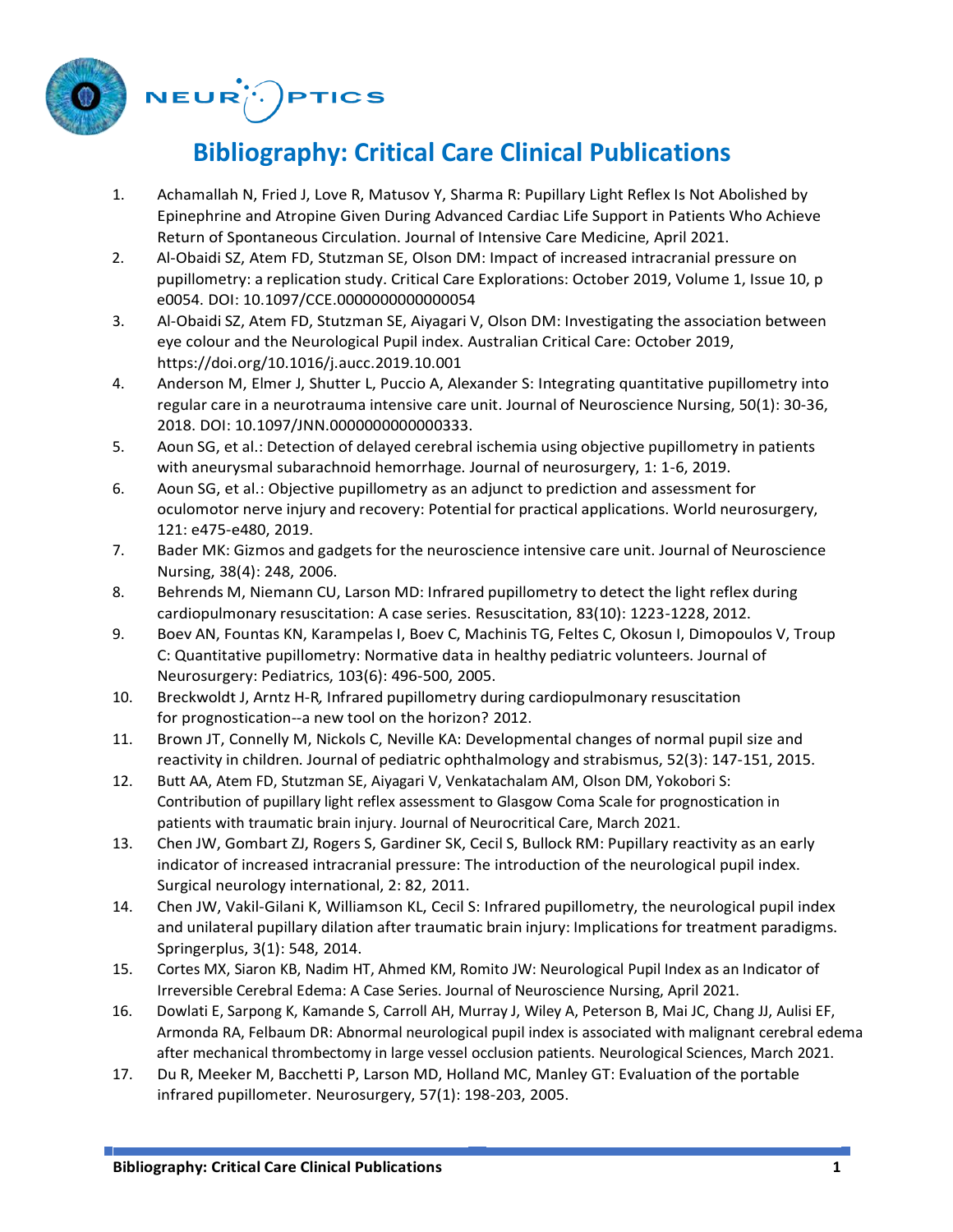

## $NEUR^{(i)}$ . PTICS

## **Bibliography: Critical Care Clinical Publications**

- 1. Achamallah N, Fried J, Love R, Matusov Y, Sharma R: Pupillary Light Reflex Is Not Abolished by Epinephrine and Atropine Given During Advanced Cardiac Life Support in Patients Who Achieve Return of Spontaneous Circulation. Journal of Intensive Care Medicine, April 2021.
- 2. Al-Obaidi SZ, Atem FD, Stutzman SE, Olson DM: Impact of increased intracranial pressure on pupillometry: a replication study. Critical Care Explorations: October 2019, Volume 1, Issue 10, p e0054. DOI: 10.1097/CCE.0000000000000054
- 3. Al-Obaidi SZ, Atem FD, Stutzman SE, Aiyagari V, Olson DM: Investigating the association between eye colour and the Neurological Pupil index. Australian Critical Care: October 2019, https://doi.org/10.1016/j.aucc.2019.10.001
- 4. Anderson M, Elmer J, Shutter L, Puccio A, Alexander S: Integrating quantitative pupillometry into regular care in a neurotrauma intensive care unit. Journal of Neuroscience Nursing, 50(1): 30-36, 2018. DOI: 10.1097/JNN.0000000000000333.
- 5. Aoun SG, et al.: Detection of delayed cerebral ischemia using objective pupillometry in patients with aneurysmal subarachnoid hemorrhage. Journal of neurosurgery, 1: 1-6, 2019.
- 6. Aoun SG, et al.: Objective pupillometry as an adjunct to prediction and assessment for oculomotor nerve injury and recovery: Potential for practical applications. World neurosurgery, 121: e475-e480, 2019.
- 7. Bader MK: Gizmos and gadgets for the neuroscience intensive care unit. Journal of Neuroscience Nursing, 38(4): 248, 2006.
- 8. Behrends M, Niemann CU, Larson MD: Infrared pupillometry to detect the light reflex during cardiopulmonary resuscitation: A case series. Resuscitation, 83(10): 1223-1228, 2012.
- 9. Boev AN, Fountas KN, Karampelas I, Boev C, Machinis TG, Feltes C, Okosun I, Dimopoulos V, Troup C: Quantitative pupillometry: Normative data in healthy pediatric volunteers. Journal of Neurosurgery: Pediatrics, 103(6): 496-500, 2005.
- 10. Breckwoldt J, Arntz H-R*,* Infrared pupillometry during cardiopulmonary resuscitation for prognostication--a new tool on the horizon? 2012.
- 11. Brown JT, Connelly M, Nickols C, Neville KA: Developmental changes of normal pupil size and reactivity in children. Journal of pediatric ophthalmology and strabismus, 52(3): 147-151, 2015.
- 12. Butt AA, Atem FD, Stutzman SE, Aiyagari V, Venkatachalam AM, Olson DM, Yokobori S: Contribution of pupillary light reflex assessment to Glasgow Coma Scale for prognostication in patients with traumatic brain injury. Journal of Neurocritical Care, March 2021.
- 13. Chen JW, Gombart ZJ, Rogers S, Gardiner SK, Cecil S, Bullock RM: Pupillary reactivity as an early indicator of increased intracranial pressure: The introduction of the neurological pupil index. Surgical neurology international, 2: 82, 2011.
- 14. Chen JW, Vakil-Gilani K, Williamson KL, Cecil S: Infrared pupillometry, the neurological pupil index and unilateral pupillary dilation after traumatic brain injury: Implications for treatment paradigms. Springerplus, 3(1): 548, 2014.
- 15. Cortes MX, Siaron KB, Nadim HT, Ahmed KM, Romito JW: Neurological Pupil Index as an Indicator of Irreversible Cerebral Edema: A Case Series. Journal of Neuroscience Nursing, April 2021.
- 16. Dowlati E, Sarpong K, Kamande S, Carroll AH, Murray J, Wiley A, Peterson B, Mai JC, Chang JJ, Aulisi EF, Armonda RA, Felbaum DR: Abnormal neurological pupil index is associated with malignant cerebral edema after mechanical thrombectomy in large vessel occlusion patients. Neurological Sciences, March 2021.
- 17. Du R, Meeker M, Bacchetti P, Larson MD, Holland MC, Manley GT: Evaluation of the portable infrared pupillometer. Neurosurgery, 57(1): 198-203, 2005.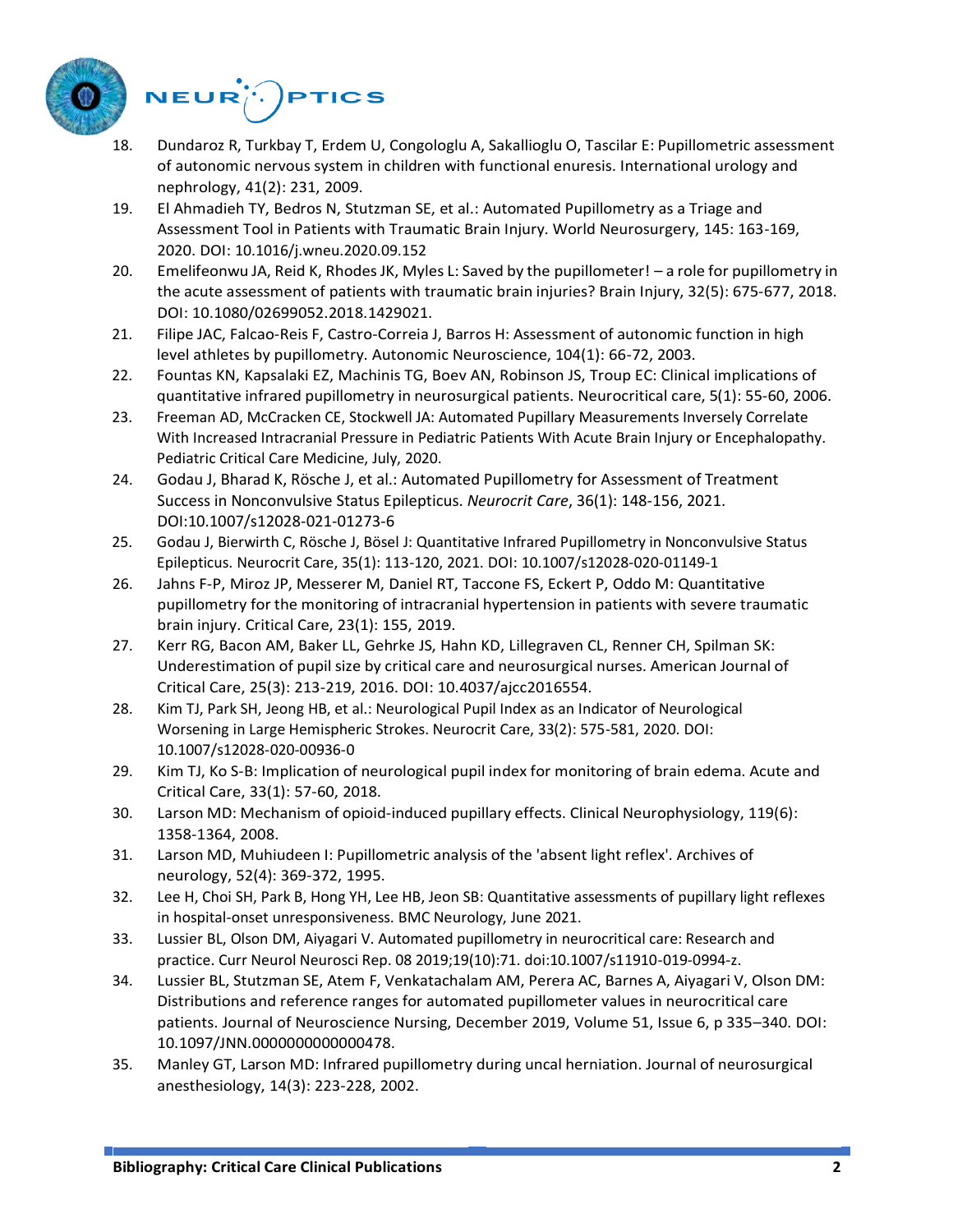



- 18. Dundaroz R, Turkbay T, Erdem U, Congologlu A, Sakallioglu O, Tascilar E: Pupillometric assessment of autonomic nervous system in children with functional enuresis. International urology and nephrology, 41(2): 231, 2009.
- 19. El Ahmadieh TY, Bedros N, Stutzman SE, et al.: Automated Pupillometry as a Triage and Assessment Tool in Patients with Traumatic Brain Injury. World Neurosurgery, 145: 163-169, 2020. DOI: [10.1016/j.wneu.2020.09.152](https://doi.org/10.1016/j.wneu.2020.09.152)
- 20. Emelifeonwu JA, Reid K, Rhodes JK, Myles L: Saved by the pupillometer! a role for pupillometry in the acute assessment of patients with traumatic brain injuries? Brain Injury, 32(5): 675-677, 2018. DOI: 10.1080/02699052.2018.1429021.
- 21. Filipe JAC, Falcao-Reis F, Castro-Correia J, Barros H: Assessment of autonomic function in high level athletes by pupillometry. Autonomic Neuroscience, 104(1): 66-72, 2003.
- 22. Fountas KN, Kapsalaki EZ, Machinis TG, Boev AN, Robinson JS, Troup EC: Clinical implications of quantitative infrared pupillometry in neurosurgical patients. Neurocritical care, 5(1): 55-60, 2006.
- 23. Freeman AD, McCracken CE, Stockwell JA: Automated Pupillary Measurements Inversely Correlate With Increased Intracranial Pressure in Pediatric Patients With Acute Brain Injury or Encephalopathy. Pediatric Critical Care Medicine, July, 2020.
- 24. Godau J, Bharad K, Rösche J, et al.: Automated Pupillometry for Assessment of Treatment Success in Nonconvulsive Status Epilepticus. *Neurocrit Care*, 36(1): 148-156, 2021. DOI[:10.1007/s12028-021-01273-6](https://doi.org/10.1007/s12028-021-01273-6)
- 25. Godau J, Bierwirth C, Rösche J, Bösel J: Quantitative Infrared Pupillometry in Nonconvulsive Status Epilepticus. Neurocrit Care, 35(1): 113-120, 2021. DOI: [10.1007/s12028-020-01149-1](https://doi.org/10.1007/s12028-020-01149-1)
- 26. Jahns F-P, Miroz JP, Messerer M, Daniel RT, Taccone FS, Eckert P, Oddo M: Quantitative pupillometry for the monitoring of intracranial hypertension in patients with severe traumatic brain injury. Critical Care, 23(1): 155, 2019.
- 27. Kerr RG, Bacon AM, Baker LL, Gehrke JS, Hahn KD, Lillegraven CL, Renner CH, Spilman SK: Underestimation of pupil size by critical care and neurosurgical nurses. American Journal of Critical Care, 25(3): 213-219, 2016. DOI: 10.4037/ajcc2016554.
- 28. Kim TJ, Park SH, Jeong HB, et al.: Neurological Pupil Index as an Indicator of Neurological Worsening in Large Hemispheric Strokes. Neurocrit Care, 33(2): 575-581, 2020. DOI: [10.1007/s12028-020-00936-0](https://doi.org/10.1007/s12028-020-00936-0)
- 29. Kim TJ, Ko S-B: Implication of neurological pupil index for monitoring of brain edema. Acute and Critical Care, 33(1): 57-60, 2018.
- 30. Larson MD: Mechanism of opioid-induced pupillary effects. Clinical Neurophysiology, 119(6): 1358-1364, 2008.
- 31. Larson MD, Muhiudeen I: Pupillometric analysis of the 'absent light reflex'. Archives of neurology, 52(4): 369-372, 1995.
- 32. Lee H, Choi SH, Park B, Hong YH, Lee HB, Jeon SB: Quantitative assessments of pupillary light reflexes in hospital-onset unresponsiveness. BMC Neurology, June 2021.
- 33. Lussier BL, Olson DM, Aiyagari V. Automated pupillometry in neurocritical care: Research and practice. Curr Neurol Neurosci Rep. 08 2019;19(10):71. doi:10.1007/s11910-019-0994-z.
- 34. Lussier BL, Stutzman SE, Atem F, Venkatachalam AM, Perera AC, Barnes A, Aiyagari V, Olson DM: Distributions and reference ranges for automated pupillometer values in neurocritical care patients. Journal of Neuroscience Nursing, December 2019, Volume 51, Issue 6, p 335–340. DOI: 10.1097/JNN.0000000000000478.
- 35. Manley GT, Larson MD: Infrared pupillometry during uncal herniation. Journal of neurosurgical anesthesiology, 14(3): 223-228, 2002.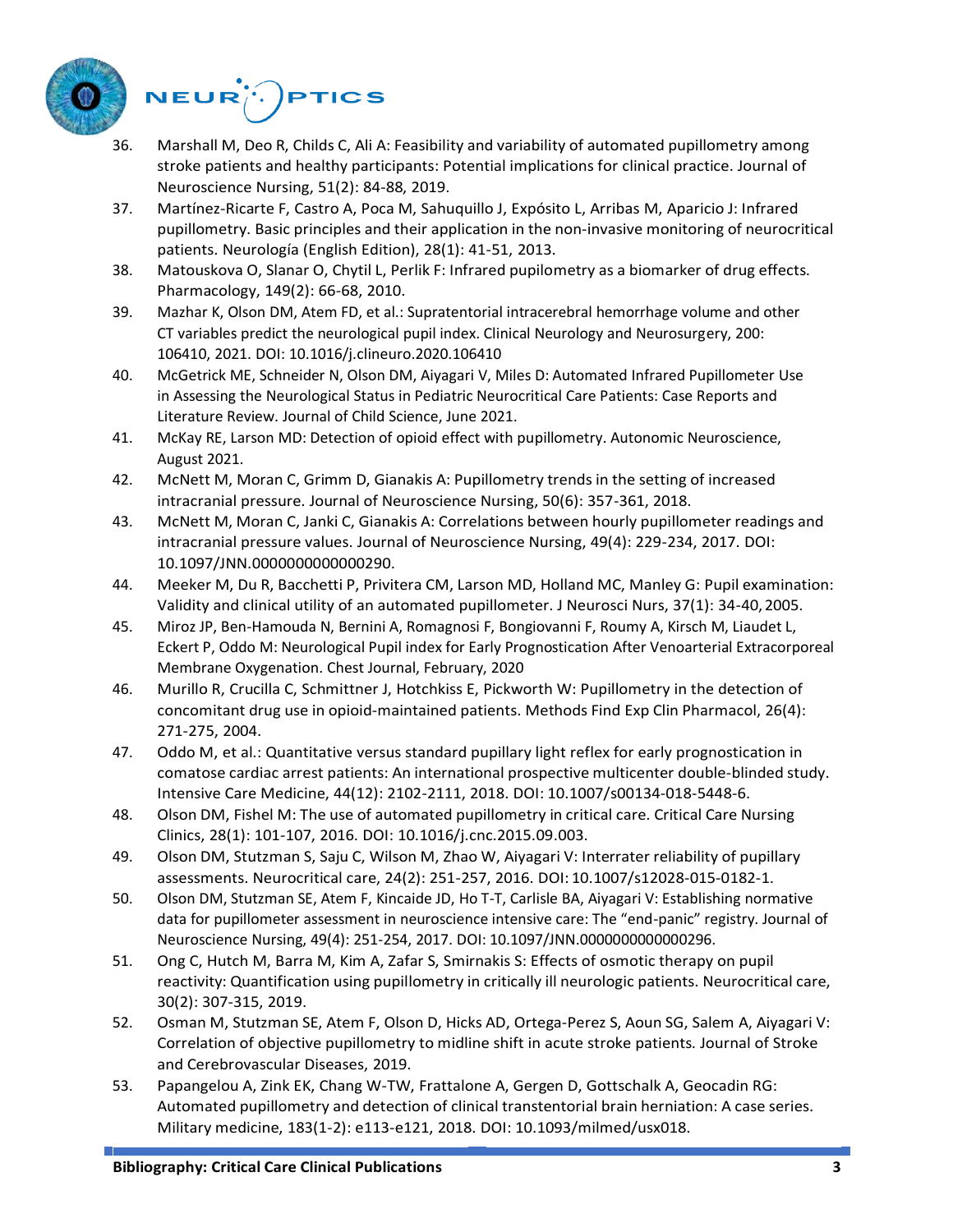



- 36. Marshall M, Deo R, Childs C, Ali A: Feasibility and variability of automated pupillometry among stroke patients and healthy participants: Potential implications for clinical practice. Journal of Neuroscience Nursing, 51(2): 84-88, 2019.
- 37. Martínez-Ricarte F, Castro A, Poca M, Sahuquillo J, Expósito L, Arribas M, Aparicio J: Infrared pupillometry. Basic principles and their application in the non-invasive monitoring of neurocritical patients. Neurología (English Edition), 28(1): 41-51, 2013.
- 38. Matouskova O, Slanar O, Chytil L, Perlik F: Infrared pupilometry as a biomarker of drug effects. Pharmacology, 149(2): 66-68, 2010.
- 39. Mazhar K, Olson DM, Atem FD, et al.: Supratentorial intracerebral hemorrhage volume and other CT variables predict the neurological pupil index. Clinical Neurology and Neurosurgery, 200: 106410, 2021. DOI: [10.1016/j.clineuro.2020.106410](https://doi.org/10.1016/j.clineuro.2020.106410)
- 40. McGetrick ME, Schneider N, Olson DM, Aiyagari V, Miles D: Automated Infrared Pupillometer Use in Assessing the Neurological Status in Pediatric Neurocritical Care Patients: Case Reports and Literature Review. Journal of Child Science, June 2021.
- 41. McKay RE, Larson MD: Detection of opioid effect with pupillometry. Autonomic Neuroscience, August 2021.
- 42. McNett M, Moran C, Grimm D, Gianakis A: Pupillometry trends in the setting of increased intracranial pressure. Journal of Neuroscience Nursing, 50(6): 357-361, 2018.
- 43. McNett M, Moran C, Janki C, Gianakis A: Correlations between hourly pupillometer readings and intracranial pressure values. Journal of Neuroscience Nursing, 49(4): 229-234, 2017. DOI: 10.1097/JNN.0000000000000290.
- 44. Meeker M, Du R, Bacchetti P, Privitera CM, Larson MD, Holland MC, Manley G: Pupil examination: Validity and clinical utility of an automated pupillometer. J Neurosci Nurs, 37(1): 34-40,2005.
- 45. Miroz JP, Ben-Hamouda N, Bernini A, Romagnosi F, Bongiovanni F, Roumy A, Kirsch M, Liaudet L, Eckert P, Oddo M: Neurological Pupil index for Early Prognostication After Venoarterial Extracorporeal Membrane Oxygenation. Chest Journal, February, 2020
- 46. Murillo R, Crucilla C, Schmittner J, Hotchkiss E, Pickworth W: Pupillometry in the detection of concomitant drug use in opioid-maintained patients. Methods Find Exp Clin Pharmacol, 26(4): 271-275, 2004.
- 47. Oddo M, et al.: Quantitative versus standard pupillary light reflex for early prognostication in comatose cardiac arrest patients: An international prospective multicenter double-blinded study. Intensive Care Medicine, 44(12): 2102-2111, 2018. DOI: 10.1007/s00134-018-5448-6.
- 48. Olson DM, Fishel M: The use of automated pupillometry in critical care. Critical Care Nursing Clinics, 28(1): 101-107, 2016. DOI: 10.1016/j.cnc.2015.09.003.
- 49. Olson DM, Stutzman S, Saju C, Wilson M, Zhao W, Aiyagari V: Interrater reliability of pupillary assessments. Neurocritical care, 24(2): 251-257, 2016. DOI: 10.1007/s12028-015-0182-1.
- 50. Olson DM, Stutzman SE, Atem F, Kincaide JD, Ho T-T, Carlisle BA, Aiyagari V: Establishing normative data for pupillometer assessment in neuroscience intensive care: The "end-panic" registry. Journal of Neuroscience Nursing, 49(4): 251-254, 2017. DOI: 10.1097/JNN.0000000000000296.
- 51. Ong C, Hutch M, Barra M, Kim A, Zafar S, Smirnakis S: Effects of osmotic therapy on pupil reactivity: Quantification using pupillometry in critically ill neurologic patients. Neurocritical care, 30(2): 307-315, 2019.
- 52. Osman M, Stutzman SE, Atem F, Olson D, Hicks AD, Ortega-Perez S, Aoun SG, Salem A, Aiyagari V: Correlation of objective pupillometry to midline shift in acute stroke patients. Journal of Stroke and Cerebrovascular Diseases, 2019.
- 53. Papangelou A, Zink EK, Chang W-TW, Frattalone A, Gergen D, Gottschalk A, Geocadin RG: Automated pupillometry and detection of clinical transtentorial brain herniation: A case series. Military medicine, 183(1-2): e113-e121, 2018. DOI: 10.1093/milmed/usx018.